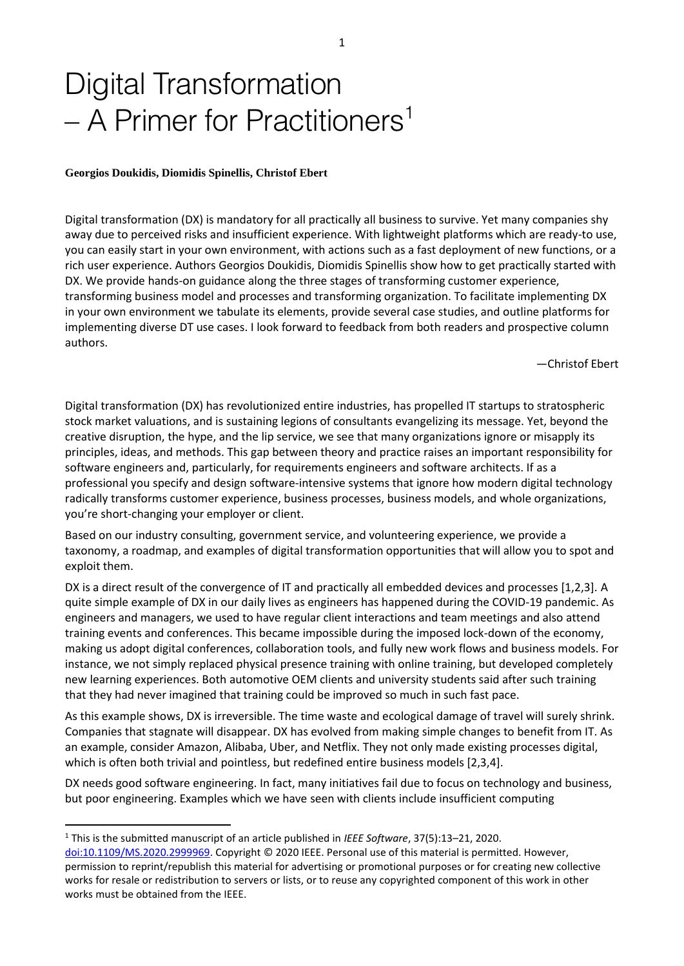# Digital Transformation  $-$  A Primer for Practitioners<sup>1</sup>

#### **Georgios Doukidis, Diomidis Spinellis, Christof Ebert**

Digital transformation (DX) is mandatory for all practically all business to survive. Yet many companies shy away due to perceived risks and insufficient experience. With lightweight platforms which are ready-to use, you can easily start in your own environment, with actions such as a fast deployment of new functions, or a rich user experience. Authors Georgios Doukidis, Diomidis Spinellis show how to get practically started with DX. We provide hands-on guidance along the three stages of transforming customer experience, transforming business model and processes and transforming organization. To facilitate implementing DX in your own environment we tabulate its elements, provide several case studies, and outline platforms for implementing diverse DT use cases. I look forward to feedback from both readers and prospective column authors.

—Christof Ebert

Digital transformation (DX) has revolutionized entire industries, has propelled IT startups to stratospheric stock market valuations, and is sustaining legions of consultants evangelizing its message. Yet, beyond the creative disruption, the hype, and the lip service, we see that many organizations ignore or misapply its principles, ideas, and methods. This gap between theory and practice raises an important responsibility for software engineers and, particularly, for requirements engineers and software architects. If as a professional you specify and design software-intensive systems that ignore how modern digital technology radically transforms customer experience, business processes, business models, and whole organizations, you're short-changing your employer or client.

Based on our industry consulting, government service, and volunteering experience, we provide a taxonomy, a roadmap, and examples of digital transformation opportunities that will allow you to spot and exploit them.

DX is a direct result of the convergence of IT and practically all embedded devices and processes [1,2,3]. A quite simple example of DX in our daily lives as engineers has happened during the COVID-19 pandemic. As engineers and managers, we used to have regular client interactions and team meetings and also attend training events and conferences. This became impossible during the imposed lock-down of the economy, making us adopt digital conferences, collaboration tools, and fully new work flows and business models. For instance, we not simply replaced physical presence training with online training, but developed completely new learning experiences. Both automotive OEM clients and university students said after such training that they had never imagined that training could be improved so much in such fast pace.

As this example shows, DX is irreversible. The time waste and ecological damage of travel will surely shrink. Companies that stagnate will disappear. DX has evolved from making simple changes to benefit from IT. As an example, consider Amazon, Alibaba, Uber, and Netflix. They not only made existing processes digital, which is often both trivial and pointless, but redefined entire business models [2,3,4].

DX needs good software engineering. In fact, many initiatives fail due to focus on technology and business, but poor engineering. Examples which we have seen with clients include insufficient computing

<sup>1</sup> This is the submitted manuscript of an article published in *IEEE Software*, 37(5):13–21, 2020.

[doi:10.1109/MS.2020.2999969.](http://dx.doi.org/10.1109/MS.2020.2999969) Copyright © 2020 IEEE. Personal use of this material is permitted. However, permission to reprint/republish this material for advertising or promotional purposes or for creating new collective works for resale or redistribution to servers or lists, or to reuse any copyrighted component of this work in other works must be obtained from the IEEE.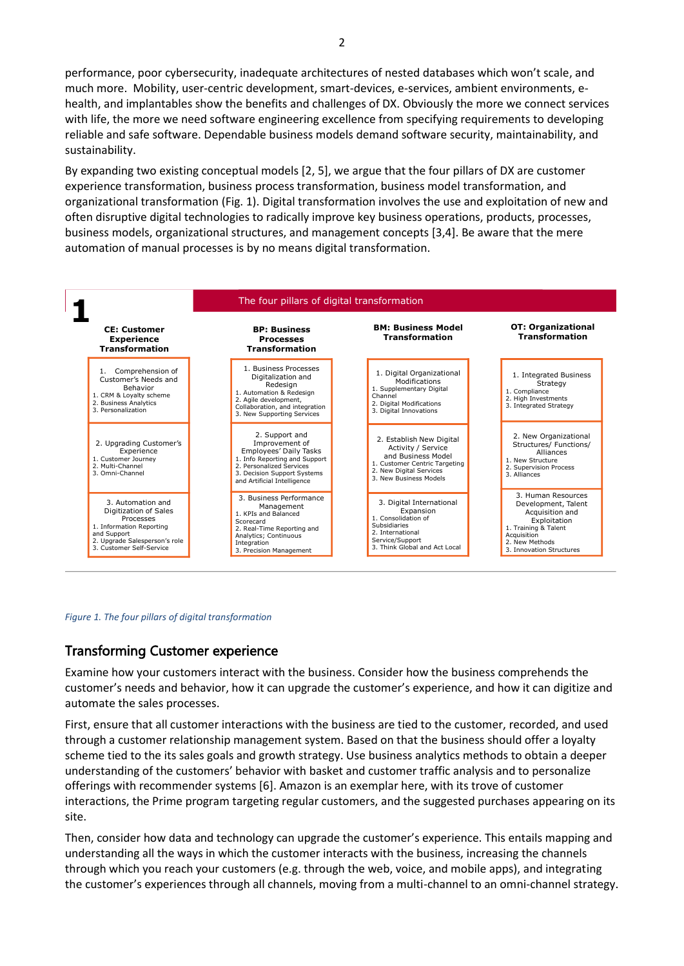performance, poor cybersecurity, inadequate architectures of nested databases which won't scale, and much more. Mobility, user-centric development, smart-devices, e-services, ambient environments, ehealth, and implantables show the benefits and challenges of DX. Obviously the more we connect services with life, the more we need software engineering excellence from specifying requirements to developing reliable and safe software. Dependable business models demand software security, maintainability, and sustainability.

By expanding two existing conceptual models [2, 5], we argue that the four pillars of DX are customer experience transformation, business process transformation, business model transformation, and organizational transformation (Fig. 1). Digital transformation involves the use and exploitation of new and often disruptive digital technologies to radically improve key business operations, products, processes, business models, organizational structures, and management concepts [3,4]. Be aware that the mere automation of manual processes is by no means digital transformation.



#### *Figure 1. The four pillars of digital transformation*

#### Transforming Customer experience

Examine how your customers interact with the business. Consider how the business comprehends the customer's needs and behavior, how it can upgrade the customer's experience, and how it can digitize and automate the sales processes.

First, ensure that all customer interactions with the business are tied to the customer, recorded, and used through a customer relationship management system. Based on that the business should offer a loyalty scheme tied to the its sales goals and growth strategy. Use business analytics methods to obtain a deeper understanding of the customers' behavior with basket and customer traffic analysis and to personalize offerings with recommender systems [6]. Amazon is an exemplar here, with its trove of customer interactions, the Prime program targeting regular customers, and the suggested purchases appearing on its site.

Then, consider how data and technology can upgrade the customer's experience. This entails mapping and understanding all the ways in which the customer interacts with the business, increasing the channels through which you reach your customers (e.g. through the web, voice, and mobile apps), and integrating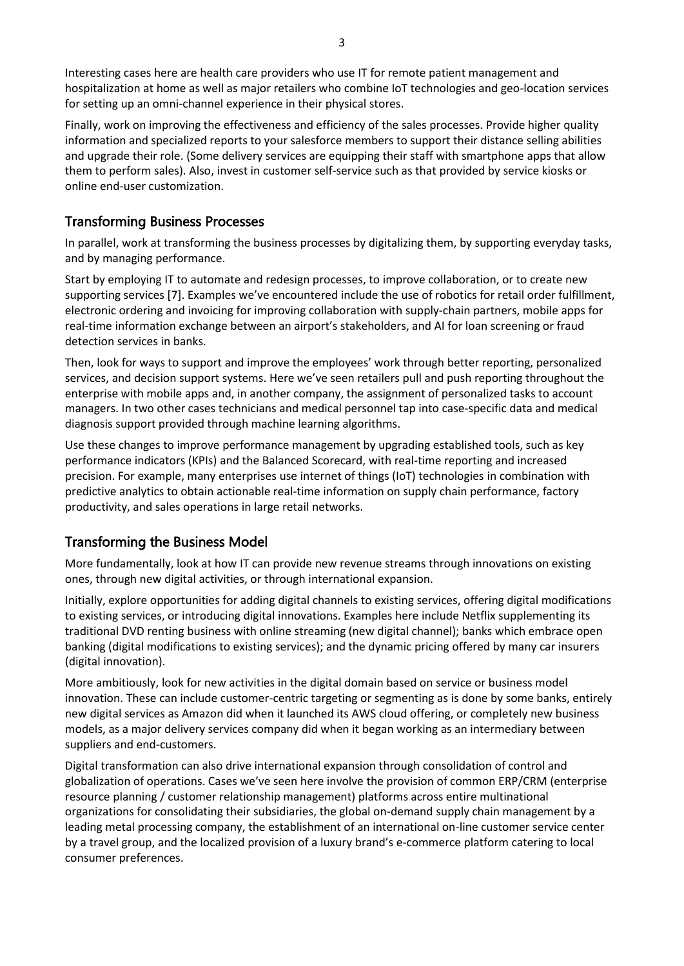Interesting cases here are health care providers who use IT for remote patient management and hospitalization at home as well as major retailers who combine IoT technologies and geo-location services for setting up an omni-channel experience in their physical stores.

Finally, work on improving the effectiveness and efficiency of the sales processes. Provide higher quality information and specialized reports to your salesforce members to support their distance selling abilities and upgrade their role. (Some delivery services are equipping their staff with smartphone apps that allow them to perform sales). Also, invest in customer self-service such as that provided by service kiosks or online end-user customization.

## Transforming Business Processes

In parallel, work at transforming the business processes by digitalizing them, by supporting everyday tasks, and by managing performance.

Start by employing IT to automate and redesign processes, to improve collaboration, or to create new supporting services [7]. Examples we've encountered include the use of robotics for retail order fulfillment, electronic ordering and invoicing for improving collaboration with supply-chain partners, mobile apps for real-time information exchange between an airport's stakeholders, and AI for loan screening or fraud detection services in banks.

Then, look for ways to support and improve the employees' work through better reporting, personalized services, and decision support systems. Here we've seen retailers pull and push reporting throughout the enterprise with mobile apps and, in another company, the assignment of personalized tasks to account managers. In two other cases technicians and medical personnel tap into case-specific data and medical diagnosis support provided through machine learning algorithms.

Use these changes to improve performance management by upgrading established tools, such as key performance indicators (KPIs) and the Balanced Scorecard, with real-time reporting and increased precision. For example, many enterprises use internet of things (IoT) technologies in combination with predictive analytics to obtain actionable real-time information on supply chain performance, factory productivity, and sales operations in large retail networks.

# Transforming the Business Model

More fundamentally, look at how IT can provide new revenue streams through innovations on existing ones, through new digital activities, or through international expansion.

Initially, explore opportunities for adding digital channels to existing services, offering digital modifications to existing services, or introducing digital innovations. Examples here include Netflix supplementing its traditional DVD renting business with online streaming (new digital channel); banks which embrace open banking (digital modifications to existing services); and the dynamic pricing offered by many car insurers (digital innovation).

More ambitiously, look for new activities in the digital domain based on service or business model innovation. These can include customer-centric targeting or segmenting as is done by some banks, entirely new digital services as Amazon did when it launched its AWS cloud offering, or completely new business models, as a major delivery services company did when it began working as an intermediary between suppliers and end-customers.

Digital transformation can also drive international expansion through consolidation of control and globalization of operations. Cases we've seen here involve the provision of common ERP/CRM (enterprise resource planning / customer relationship management) platforms across entire multinational organizations for consolidating their subsidiaries, the global on-demand supply chain management by a leading metal processing company, the establishment of an international on-line customer service center by a travel group, and the localized provision of a luxury brand's e-commerce platform catering to local consumer preferences.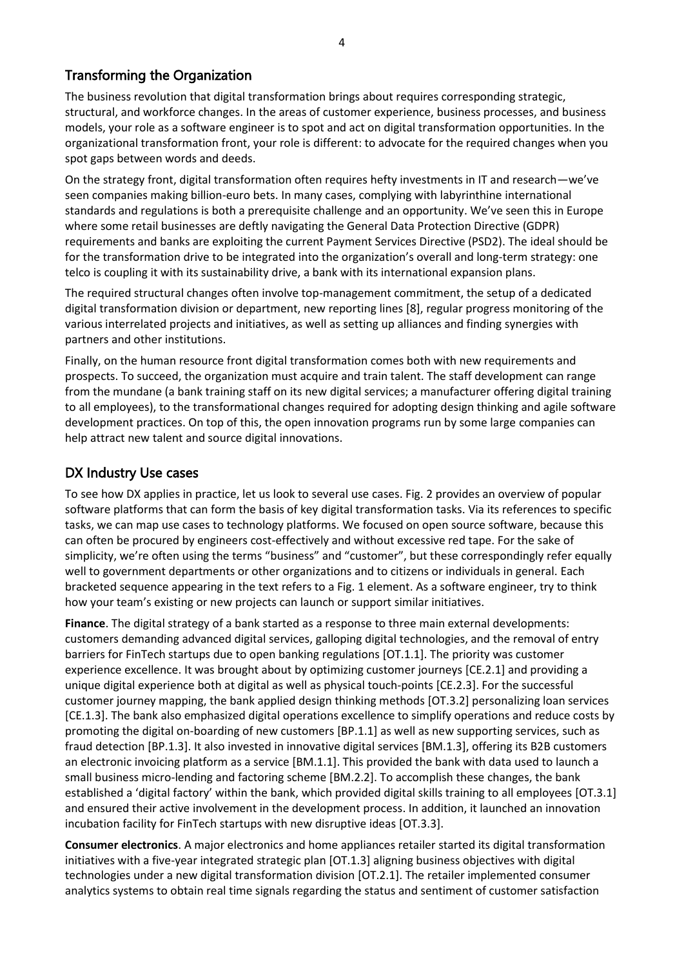# Transforming the Organization

The business revolution that digital transformation brings about requires corresponding strategic, structural, and workforce changes. In the areas of customer experience, business processes, and business models, your role as a software engineer is to spot and act on digital transformation opportunities. In the organizational transformation front, your role is different: to advocate for the required changes when you spot gaps between words and deeds.

On the strategy front, digital transformation often requires hefty investments in IT and research—we've seen companies making billion-euro bets. In many cases, complying with labyrinthine international standards and regulations is both a prerequisite challenge and an opportunity. We've seen this in Europe where some retail businesses are deftly navigating the General Data Protection Directive (GDPR) requirements and banks are exploiting the current Payment Services Directive (PSD2). The ideal should be for the transformation drive to be integrated into the organization's overall and long-term strategy: one telco is coupling it with its sustainability drive, a bank with its international expansion plans.

The required structural changes often involve top-management commitment, the setup of a dedicated digital transformation division or department, new reporting lines [8], regular progress monitoring of the various interrelated projects and initiatives, as well as setting up alliances and finding synergies with partners and other institutions.

Finally, on the human resource front digital transformation comes both with new requirements and prospects. To succeed, the organization must acquire and train talent. The staff development can range from the mundane (a bank training staff on its new digital services; a manufacturer offering digital training to all employees), to the transformational changes required for adopting design thinking and agile software development practices. On top of this, the open innovation programs run by some large companies can help attract new talent and source digital innovations.

# DX Industry Use cases

To see how DX applies in practice, let us look to several use cases. Fig. 2 provides an overview of popular software platforms that can form the basis of key digital transformation tasks. Via its references to specific tasks, we can map use cases to technology platforms. We focused on open source software, because this can often be procured by engineers cost-effectively and without excessive red tape. For the sake of simplicity, we're often using the terms "business" and "customer", but these correspondingly refer equally well to government departments or other organizations and to citizens or individuals in general. Each bracketed sequence appearing in the text refers to a Fig. 1 element. As a software engineer, try to think how your team's existing or new projects can launch or support similar initiatives.

**Finance**. The digital strategy of a bank started as a response to three main external developments: customers demanding advanced digital services, galloping digital technologies, and the removal of entry barriers for FinTech startups due to open banking regulations [OT.1.1]. The priority was customer experience excellence. It was brought about by optimizing customer journeys [CE.2.1] and providing a unique digital experience both at digital as well as physical touch-points [CE.2.3]. For the successful customer journey mapping, the bank applied design thinking methods [OT.3.2] personalizing loan services [CE.1.3]. The bank also emphasized digital operations excellence to simplify operations and reduce costs by promoting the digital on-boarding of new customers [BP.1.1] as well as new supporting services, such as fraud detection [BP.1.3]. It also invested in innovative digital services [BM.1.3], offering its B2B customers an electronic invoicing platform as a service [BM.1.1]. This provided the bank with data used to launch a small business micro-lending and factoring scheme [BM.2.2]. To accomplish these changes, the bank established a 'digital factory' within the bank, which provided digital skills training to all employees [OT.3.1] and ensured their active involvement in the development process. In addition, it launched an innovation incubation facility for FinTech startups with new disruptive ideas [OT.3.3].

**Consumer electronics**. A major electronics and home appliances retailer started its digital transformation initiatives with a five-year integrated strategic plan [OT.1.3] aligning business objectives with digital technologies under a new digital transformation division [OT.2.1]. The retailer implemented consumer analytics systems to obtain real time signals regarding the status and sentiment of customer satisfaction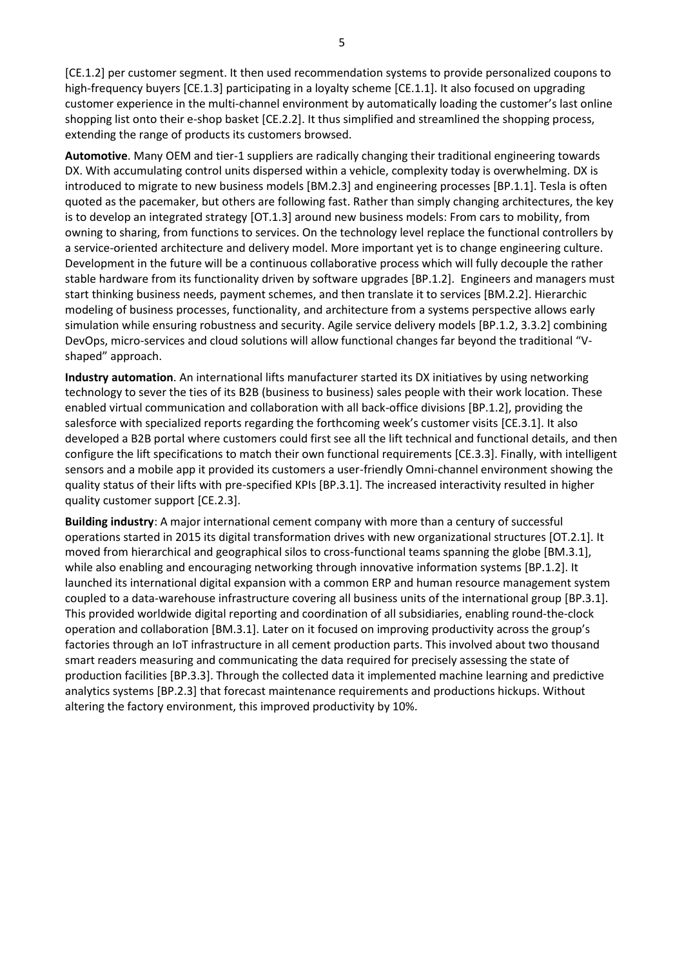[CE.1.2] per customer segment. It then used recommendation systems to provide personalized coupons to high-frequency buyers [CE.1.3] participating in a loyalty scheme [CE.1.1]. It also focused on upgrading customer experience in the multi-channel environment by automatically loading the customer's last online shopping list onto their e-shop basket [CE.2.2]. It thus simplified and streamlined the shopping process, extending the range of products its customers browsed.

**Automotive**. Many OEM and tier-1 suppliers are radically changing their traditional engineering towards DX. With accumulating control units dispersed within a vehicle, complexity today is overwhelming. DX is introduced to migrate to new business models [BM.2.3] and engineering processes [BP.1.1]. Tesla is often quoted as the pacemaker, but others are following fast. Rather than simply changing architectures, the key is to develop an integrated strategy [OT.1.3] around new business models: From cars to mobility, from owning to sharing, from functions to services. On the technology level replace the functional controllers by a service-oriented architecture and delivery model. More important yet is to change engineering culture. Development in the future will be a continuous collaborative process which will fully decouple the rather stable hardware from its functionality driven by software upgrades [BP.1.2]. Engineers and managers must start thinking business needs, payment schemes, and then translate it to services [BM.2.2]. Hierarchic modeling of business processes, functionality, and architecture from a systems perspective allows early simulation while ensuring robustness and security. Agile service delivery models [BP.1.2, 3.3.2] combining DevOps, micro-services and cloud solutions will allow functional changes far beyond the traditional "Vshaped" approach.

**Industry automation**. An international lifts manufacturer started its DX initiatives by using networking technology to sever the ties of its B2B (business to business) sales people with their work location. These enabled virtual communication and collaboration with all back-office divisions [BP.1.2], providing the salesforce with specialized reports regarding the forthcoming week's customer visits [CE.3.1]. It also developed a B2B portal where customers could first see all the lift technical and functional details, and then configure the lift specifications to match their own functional requirements [CE.3.3]. Finally, with intelligent sensors and a mobile app it provided its customers a user-friendly Omni-channel environment showing the quality status of their lifts with pre-specified KPIs [BP.3.1]. The increased interactivity resulted in higher quality customer support [CE.2.3].

**Building industry**: A major international cement company with more than a century of successful operations started in 2015 its digital transformation drives with new organizational structures [OT.2.1]. It moved from hierarchical and geographical silos to cross-functional teams spanning the globe [BM.3.1], while also enabling and encouraging networking through innovative information systems [BP.1.2]. It launched its international digital expansion with a common ERP and human resource management system coupled to a data-warehouse infrastructure covering all business units of the international group [BP.3.1]. This provided worldwide digital reporting and coordination of all subsidiaries, enabling round-the-clock operation and collaboration [BM.3.1]. Later on it focused on improving productivity across the group's factories through an IoT infrastructure in all cement production parts. This involved about two thousand smart readers measuring and communicating the data required for precisely assessing the state of production facilities [BP.3.3]. Through the collected data it implemented machine learning and predictive analytics systems [BP.2.3] that forecast maintenance requirements and productions hickups. Without altering the factory environment, this improved productivity by 10%.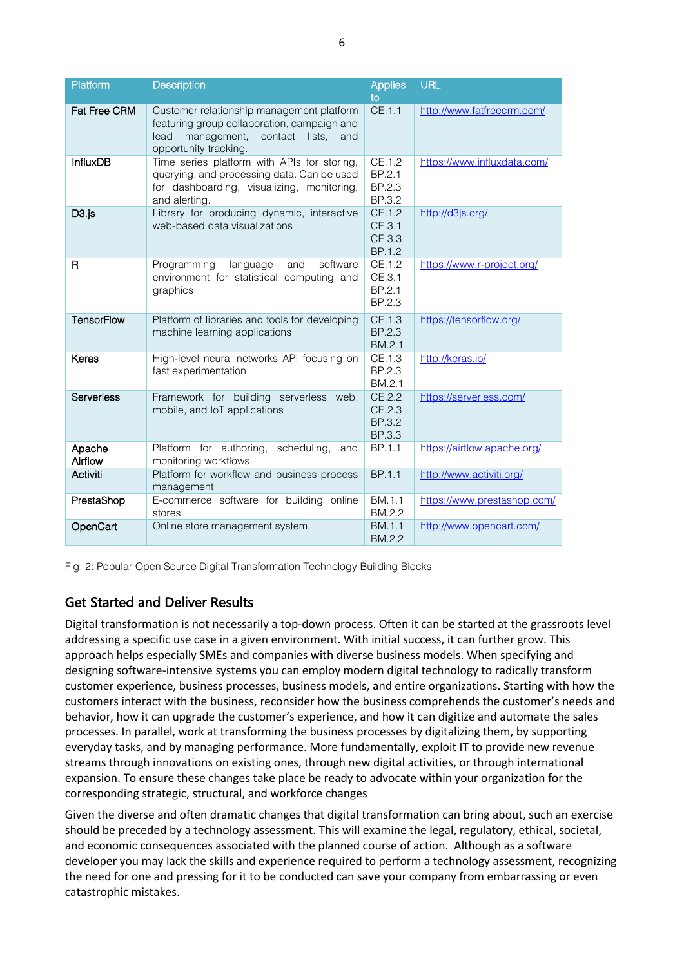| Platform            | <b>Description</b>                                                                                                                                             | <b>Applies</b><br>to                 | <b>URL</b>                  |
|---------------------|----------------------------------------------------------------------------------------------------------------------------------------------------------------|--------------------------------------|-----------------------------|
| <b>Fat Free CRM</b> | Customer relationship management platform<br>featuring group collaboration, campaign and<br>management, contact lists,<br>lead<br>and<br>opportunity tracking. | CE.1.1                               | http://www.fatfreecrm.com/  |
| <b>InfluxDB</b>     | Time series platform with APIs for storing,<br>querying, and processing data. Can be used<br>for dashboarding, visualizing, monitoring,<br>and alerting.       | CE.1.2<br>BP.2.1<br>BP.2.3<br>BP.3.2 | https://www.influxdata.com/ |
| D <sub>3</sub> .js  | Library for producing dynamic, interactive<br>web-based data visualizations                                                                                    | CE.1.2<br>CE.3.1<br>CE.3.3<br>BP.1.2 | http://d3js.org/            |
| R                   | software<br>Programming<br>language<br>and<br>environment for statistical computing and<br>graphics                                                            | CE.1.2<br>CE.3.1<br>BP.2.1<br>BP.2.3 | https://www.r-project.org/  |
| <b>TensorFlow</b>   | Platform of libraries and tools for developing<br>machine learning applications                                                                                | CE.1.3<br>BP.2.3<br>BM.2.1           | https://tensorflow.org/     |
| Keras               | High-level neural networks API focusing on<br>fast experimentation                                                                                             | CE.1.3<br>BP.2.3<br>BM.2.1           | http://keras.io/            |
| <b>Serverless</b>   | Framework for building serverless web,<br>mobile, and IoT applications                                                                                         | CE.2.2<br>CE.2.3<br>BP.3.2<br>BP.3.3 | https://serverless.com/     |
| Apache<br>Airflow   | Platform for authoring,<br>scheduling, and<br>monitoring workflows                                                                                             | BP.1.1                               | https://airflow.apache.org/ |
| Activiti            | Platform for workflow and business process<br>management                                                                                                       | BP.1.1                               | http://www.activiti.org/    |
| PrestaShop          | E-commerce software for building online<br>stores                                                                                                              | BM.1.1<br>BM.2.2                     | https://www.prestashop.com/ |
| OpenCart            | Online store management system.                                                                                                                                | BM.1.1<br>BM.2.2                     | http://www.opencart.com/    |

Fig. 2: Popular Open Source Digital Transformation Technology Building Blocks

# Get Started and Deliver Results

Digital transformation is not necessarily a top-down process. Often it can be started at the grassroots level addressing a specific use case in a given environment. With initial success, it can further grow. This approach helps especially SMEs and companies with diverse business models. When specifying and designing software-intensive systems you can employ modern digital technology to radically transform customer experience, business processes, business models, and entire organizations. Starting with how the customers interact with the business, reconsider how the business comprehends the customer's needs and behavior, how it can upgrade the customer's experience, and how it can digitize and automate the sales processes. In parallel, work at transforming the business processes by digitalizing them, by supporting everyday tasks, and by managing performance. More fundamentally, exploit IT to provide new revenue streams through innovations on existing ones, through new digital activities, or through international expansion. To ensure these changes take place be ready to advocate within your organization for the corresponding strategic, structural, and workforce changes

Given the diverse and often dramatic changes that digital transformation can bring about, such an exercise should be preceded by a technology assessment. This will examine the legal, regulatory, ethical, societal, and economic consequences associated with the planned course of action. Although as a software developer you may lack the skills and experience required to perform a technology assessment, recognizing the need for one and pressing for it to be conducted can save your company from embarrassing or even catastrophic mistakes.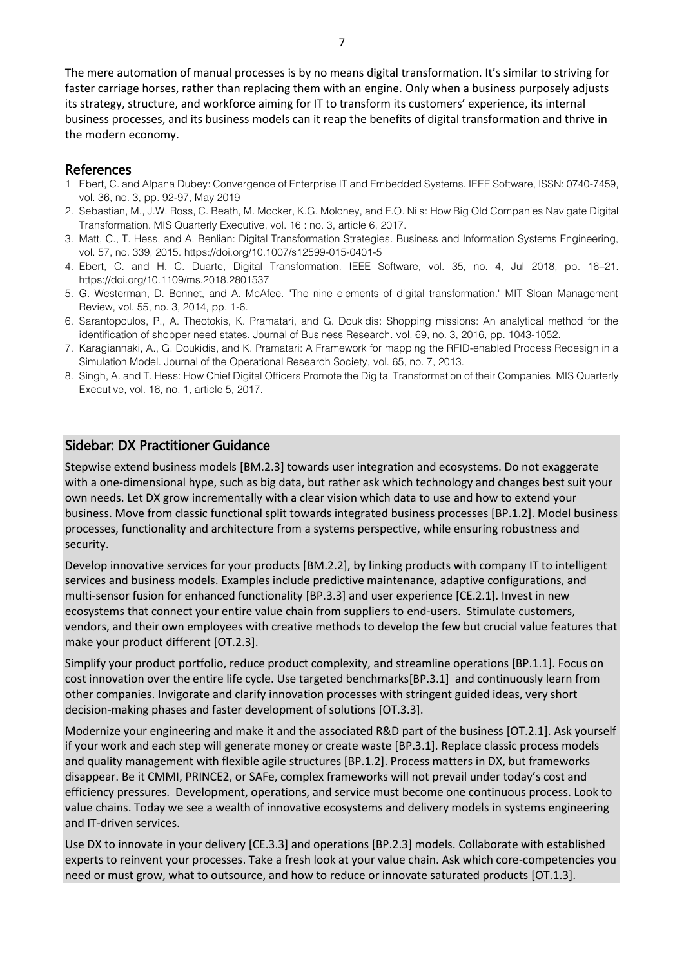The mere automation of manual processes is by no means digital transformation. It's similar to striving for faster carriage horses, rather than replacing them with an engine. Only when a business purposely adjusts its strategy, structure, and workforce aiming for IT to transform its customers' experience, its internal business processes, and its business models can it reap the benefits of digital transformation and thrive in the modern economy.

#### References

- 1 Ebert, C. and Alpana Dubey: Convergence of Enterprise IT and Embedded Systems. IEEE Software, ISSN: 0740-7459, vol. 36, no. 3, pp. 92-97, May 2019
- 2. Sebastian, M., J.W. Ross, C. Beath, M. Mocker, K.G. Moloney, and F.O. Nils: How Big Old Companies Navigate Digital Transformation. MIS Quarterly Executive, vol. 16 : no. 3, article 6, 2017.
- 3. Matt, C., T. Hess, and A. Benlian: Digital Transformation Strategies. Business and Information Systems Engineering, vol. 57, no. 339, 2015. https://doi.org/10.1007/s12599-015-0401-5
- 4. Ebert, C. and H. C. Duarte, Digital Transformation. IEEE Software, vol. 35, no. 4, Jul 2018, pp. 16–21. https://doi.org/10.1109/ms.2018.2801537
- 5. G. Westerman, D. Bonnet, and A. McAfee. "The nine elements of digital transformation." MIT Sloan Management Review, vol. 55, no. 3, 2014, pp. 1-6.
- 6. Sarantopoulos, P., A. Theotokis, K. Pramatari, and G. Doukidis: Shopping missions: An analytical method for the identification of shopper need states. Journal of Business Research. vol. 69, no. 3, 2016, pp. 1043-1052.
- 7. Karagiannaki, A., G. Doukidis, and K. Pramatari: A Framework for mapping the RFID-enabled Process Redesign in a Simulation Model. Journal of the Operational Research Society, vol. 65, no. 7, 2013.
- 8. Singh, A. and T. Hess: How Chief Digital Officers Promote the Digital Transformation of their Companies. MIS Quarterly Executive, vol. 16, no. 1, article 5, 2017.

### Sidebar: DX Practitioner Guidance

Stepwise extend business models [BM.2.3] towards user integration and ecosystems. Do not exaggerate with a one-dimensional hype, such as big data, but rather ask which technology and changes best suit your own needs. Let DX grow incrementally with a clear vision which data to use and how to extend your business. Move from classic functional split towards integrated business processes [BP.1.2]. Model business processes, functionality and architecture from a systems perspective, while ensuring robustness and security.

Develop innovative services for your products [BM.2.2], by linking products with company IT to intelligent services and business models. Examples include predictive maintenance, adaptive configurations, and multi-sensor fusion for enhanced functionality [BP.3.3] and user experience [CE.2.1]. Invest in new ecosystems that connect your entire value chain from suppliers to end-users. Stimulate customers, vendors, and their own employees with creative methods to develop the few but crucial value features that make your product different [OT.2.3].

Simplify your product portfolio, reduce product complexity, and streamline operations [BP.1.1]. Focus on cost innovation over the entire life cycle. Use targeted benchmarks[BP.3.1] and continuously learn from other companies. Invigorate and clarify innovation processes with stringent guided ideas, very short decision-making phases and faster development of solutions [OT.3.3].

Modernize your engineering and make it and the associated R&D part of the business [OT.2.1]. Ask yourself if your work and each step will generate money or create waste [BP.3.1]. Replace classic process models and quality management with flexible agile structures [BP.1.2]. Process matters in DX, but frameworks disappear. Be it CMMI, PRINCE2, or SAFe, complex frameworks will not prevail under today's cost and efficiency pressures. Development, operations, and service must become one continuous process. Look to value chains. Today we see a wealth of innovative ecosystems and delivery models in systems engineering and IT-driven services.

Use DX to innovate in your delivery [CE.3.3] and operations [BP.2.3] models. Collaborate with established experts to reinvent your processes. Take a fresh look at your value chain. Ask which core-competencies you need or must grow, what to outsource, and how to reduce or innovate saturated products [OT.1.3].